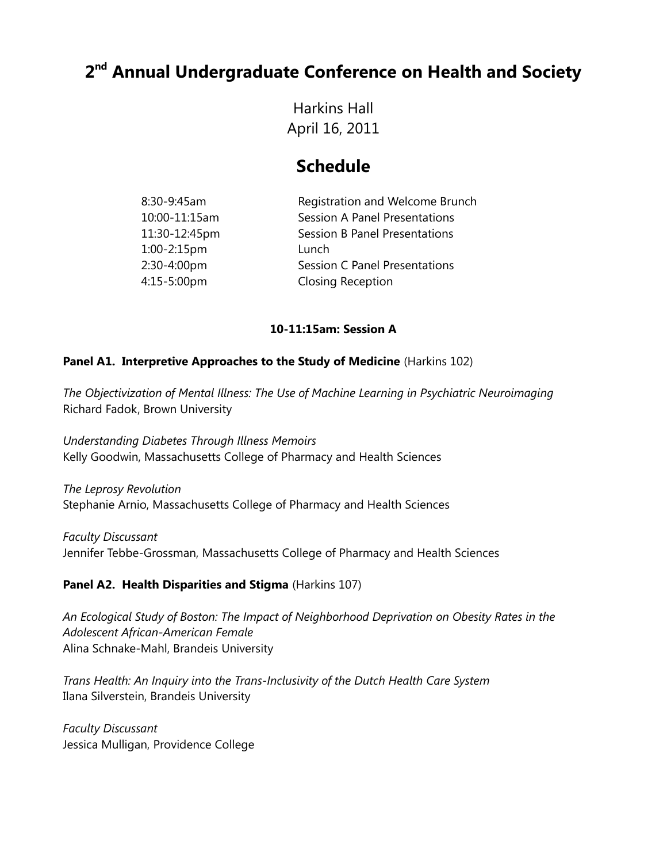# **2 nd Annual Undergraduate Conference on Health and Society**

Harkins Hall April 16, 2011

# **Schedule**

| Registration and Welcome Brunch |
|---------------------------------|
|                                 |
|                                 |
|                                 |
|                                 |
|                                 |
|                                 |

## **10-11:15am: Session A**

### **Panel A1. Interpretive Approaches to the Study of Medicine (Harkins 102)**

*The Objectivization of Mental Illness: The Use of Machine Learning in Psychiatric Neuroimaging* Richard Fadok, Brown University

*Understanding Diabetes Through Illness Memoirs* Kelly Goodwin, Massachusetts College of Pharmacy and Health Sciences

*The Leprosy Revolution* Stephanie Arnio, Massachusetts College of Pharmacy and Health Sciences

*Faculty Discussant* Jennifer Tebbe-Grossman, Massachusetts College of Pharmacy and Health Sciences

## **Panel A2. Health Disparities and Stigma** (Harkins 107)

*An Ecological Study of Boston: The Impact of Neighborhood Deprivation on Obesity Rates in the Adolescent African-American Female* Alina Schnake-Mahl, Brandeis University

*Trans Health: An Inquiry into the Trans-Inclusivity of the Dutch Health Care System* Ilana Silverstein, Brandeis University

*Faculty Discussant* Jessica Mulligan, Providence College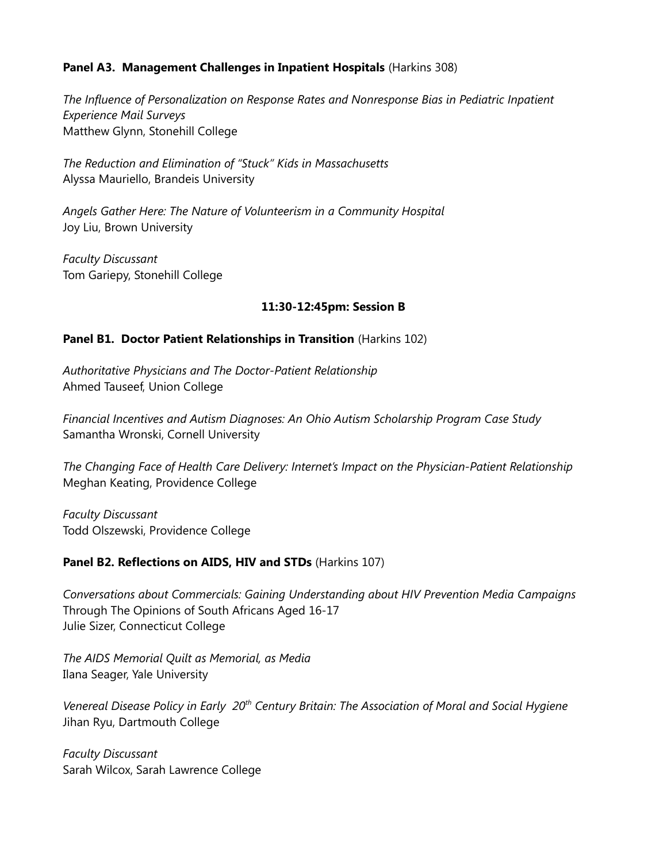### **Panel A3. Management Challenges in Inpatient Hospitals** (Harkins 308)

*The Influence of Personalization on Response Rates and Nonresponse Bias in Pediatric Inpatient Experience Mail Surveys* Matthew Glynn, Stonehill College

*The Reduction and Elimination of "Stuck" Kids in Massachusetts* Alyssa Mauriello, Brandeis University

*Angels Gather Here: The Nature of Volunteerism in a Community Hospital* Joy Liu, Brown University

*Faculty Discussant* Tom Gariepy, Stonehill College

### **11:30-12:45pm: Session B**

### **Panel B1. Doctor Patient Relationships in Transition** (Harkins 102)

*Authoritative Physicians and The Doctor-Patient Relationship* Ahmed Tauseef, Union College

*Financial Incentives and Autism Diagnoses: An Ohio Autism Scholarship Program Case Study* Samantha Wronski, Cornell University

*The Changing Face of Health Care Delivery: Internet's Impact on the Physician-Patient Relationship* Meghan Keating, Providence College

*Faculty Discussant* Todd Olszewski, Providence College

## **Panel B2. Reflections on AIDS, HIV and STDs** (Harkins 107)

*Conversations about Commercials: Gaining Understanding about HIV Prevention Media Campaigns* Through The Opinions of South Africans Aged 16-17 Julie Sizer, Connecticut College

*The AIDS Memorial Quilt as Memorial, as Media* Ilana Seager, Yale University

*Venereal Disease Policy in Early 20th Century Britain: The Association of Moral and Social Hygiene* Jihan Ryu, Dartmouth College

*Faculty Discussant* Sarah Wilcox, Sarah Lawrence College